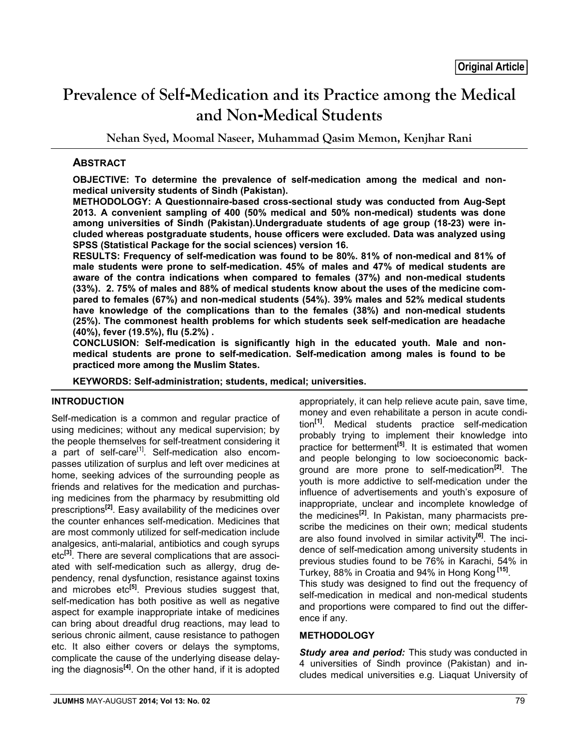# **Prevalence of Self-Medication and its Practice among the Medical and Non-Medical Students**

**Nehan Syed, Moomal Naseer, Muhammad Qasim Memon, Kenjhar Rani**

# **ABSTRACT**

**OBJECTIVE: To determine the prevalence of self-medication among the medical and nonmedical university students of Sindh (Pakistan).**

**METHODOLOGY: A Questionnaire-based cross-sectional study was conducted from Aug-Sept 2013. A convenient sampling of 400 (50% medical and 50% non-medical) students was done among universities of Sindh (Pakistan).Undergraduate students of age group (18-23) were included whereas postgraduate students, house officers were excluded. Data was analyzed using SPSS (Statistical Package for the social sciences) version 16.**

**RESULTS: Frequency of self-medication was found to be 80%. 81% of non-medical and 81% of male students were prone to self-medication. 45% of males and 47% of medical students are aware of the contra indications when compared to females (37%) and non-medical students (33%). 2. 75% of males and 88% of medical students know about the uses of the medicine compared to females (67%) and non-medical students (54%). 39% males and 52% medical students have knowledge of the complications than to the females (38%) and non-medical students (25%). The commonest health problems for which students seek self-medication are headache (40%), fever (19.5%), flu (5.2%) .**

**CONCLUSION: Self-medication is significantly high in the educated youth. Male and nonmedical students are prone to self-medication. Self-medication among males is found to be practiced more among the Muslim States.**

**KEYWORDS: Self-administration; students, medical; universities.**

# **INTRODUCTION**

Self-medication is a common and regular practice of using medicines; without any medical supervision; by the people themselves for self-treatment considering it a part of self-care<sup>[1]</sup>. Self-medication also encompasses utilization of surplus and left over medicines at home, seeking advices of the surrounding people as friends and relatives for the medication and purchasing medicines from the pharmacy by resubmitting old prescriptions**[2]**. Easy availability of the medicines over the counter enhances self-medication. Medicines that are most commonly utilized for self-medication include analgesics, anti-malarial, antibiotics and cough syrups etc**[3]**. There are several complications that are associated with self-medication such as allergy, drug dependency, renal dysfunction, resistance against toxins and microbes etc**[5]**. Previous studies suggest that, self-medication has both positive as well as negative aspect for example inappropriate intake of medicines can bring about dreadful drug reactions, may lead to serious chronic ailment, cause resistance to pathogen etc. It also either covers or delays the symptoms, complicate the cause of the underlying disease delaying the diagnosis**[4]**. On the other hand, if it is adopted appropriately, it can help relieve acute pain, save time, money and even rehabilitate a person in acute condition**[1]**. Medical students practice self-medication probably trying to implement their knowledge into practice for betterment**[5]**. It is estimated that women and people belonging to low socioeconomic background are more prone to self-medication**[2]**. The youth is more addictive to self-medication under the influence of advertisements and youth's exposure of inappropriate, unclear and incomplete knowledge of the medicines**[2]**. In Pakistan, many pharmacists prescribe the medicines on their own; medical students are also found involved in similar activity**[6]**. The incidence of self-medication among university students in previous studies found to be 76% in Karachi, 54% in Turkey, 88% in Croatia and 94% in Hong Kong **[15]**.

This study was designed to find out the frequency of self-medication in medical and non-medical students and proportions were compared to find out the difference if any.

### **METHODOLOGY**

*Study area and period:* This study was conducted in 4 universities of Sindh province (Pakistan) and includes medical universities e.g. Liaquat University of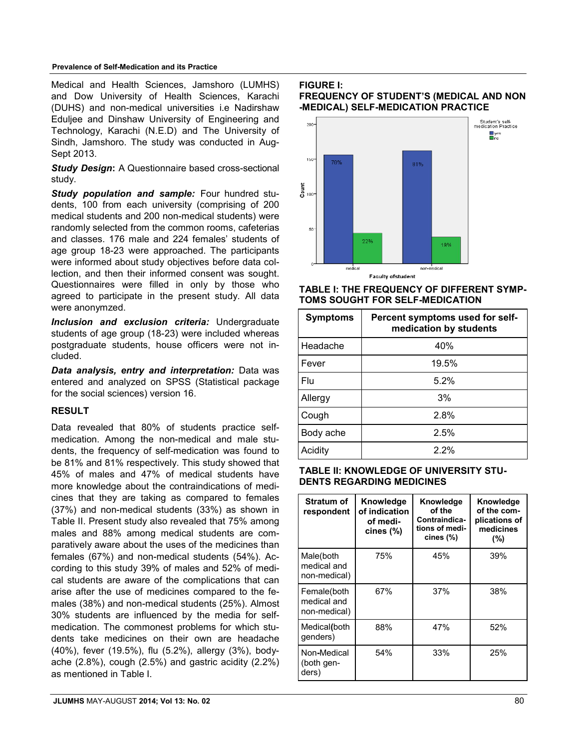### **Prevalence of Self-Medication and its Practice**

Medical and Health Sciences, Jamshoro (LUMHS) and Dow University of Health Sciences, Karachi (DUHS) and non-medical universities i.e Nadirshaw Eduljee and Dinshaw University of Engineering and Technology, Karachi (N.E.D) and The University of Sindh, Jamshoro. The study was conducted in Aug-Sept 2013.

**Study Design:** A Questionnaire based cross-sectional study.

*Study population and sample:* Four hundred students, 100 from each university (comprising of 200 medical students and 200 non-medical students) were randomly selected from the common rooms, cafeterias and classes. 176 male and 224 females' students of age group 18-23 were approached. The participants were informed about study objectives before data collection, and then their informed consent was sought. Questionnaires were filled in only by those who agreed to participate in the present study. All data were anonymzed.

*Inclusion and exclusion criteria:* Undergraduate students of age group (18-23) were included whereas postgraduate students, house officers were not included.

*Data analysis, entry and interpretation:* Data was entered and analyzed on SPSS (Statistical package for the social sciences) version 16.

# **RESULT**

Data revealed that 80% of students practice selfmedication. Among the non-medical and male students, the frequency of self-medication was found to be 81% and 81% respectively. This study showed that 45% of males and 47% of medical students have more knowledge about the contraindications of medicines that they are taking as compared to females (37%) and non-medical students (33%) as shown in Table II. Present study also revealed that 75% among males and 88% among medical students are comparatively aware about the uses of the medicines than females (67%) and non-medical students (54%). According to this study 39% of males and 52% of medical students are aware of the complications that can arise after the use of medicines compared to the females (38%) and non-medical students (25%). Almost 30% students are influenced by the media for selfmedication. The commonest problems for which students take medicines on their own are headache (40%), fever (19.5%), flu (5.2%), allergy (3%), bodyache (2.8%), cough (2.5%) and gastric acidity (2.2%) as mentioned in Table I.

**FIGURE I:** 

 $200 -$ 



**FREQUENCY OF STUDENT'S (MEDICAL AND NON**

Student's self-<br>medication Practice

 $\mathbf{L}$ yes

**-MEDICAL) SELF-MEDICATION PRACTICE**

# **TABLE I: THE FREQUENCY OF DIFFERENT SYMP-TOMS SOUGHT FOR SELF-MEDICATION**

| <b>Symptoms</b> | Percent symptoms used for self-<br>medication by students |  |  |
|-----------------|-----------------------------------------------------------|--|--|
| Headache        | 40%                                                       |  |  |
| Fever           | 19.5%                                                     |  |  |
| Flu             | 5.2%                                                      |  |  |
| Allergy         | 3%                                                        |  |  |
| Cough           | 2.8%                                                      |  |  |
| Body ache       | 2.5%                                                      |  |  |
| Acidity         | 2.2%                                                      |  |  |

# **TABLE II: KNOWLEDGE OF UNIVERSITY STU-DENTS REGARDING MEDICINES**

| Stratum of<br>respondent                   | Knowledge<br>of indication<br>of medi-<br>cines $(\%)$ | Knowledge<br>of the<br>Contraindica-<br>tions of medi-<br>cines (%) | Knowledge<br>of the com-<br>plications of<br>medicines<br>(%) |
|--------------------------------------------|--------------------------------------------------------|---------------------------------------------------------------------|---------------------------------------------------------------|
| Male(both<br>medical and<br>non-medical)   | 75%                                                    | 45%                                                                 | 39%                                                           |
| Female(both<br>medical and<br>non-medical) | 67%                                                    | 37%                                                                 | 38%                                                           |
| Medical(both<br>qenders)                   | 88%                                                    | 47%                                                                 | 52%                                                           |
| Non-Medical<br>(both gen-<br>ders)         | 54%                                                    | 33%                                                                 | 25%                                                           |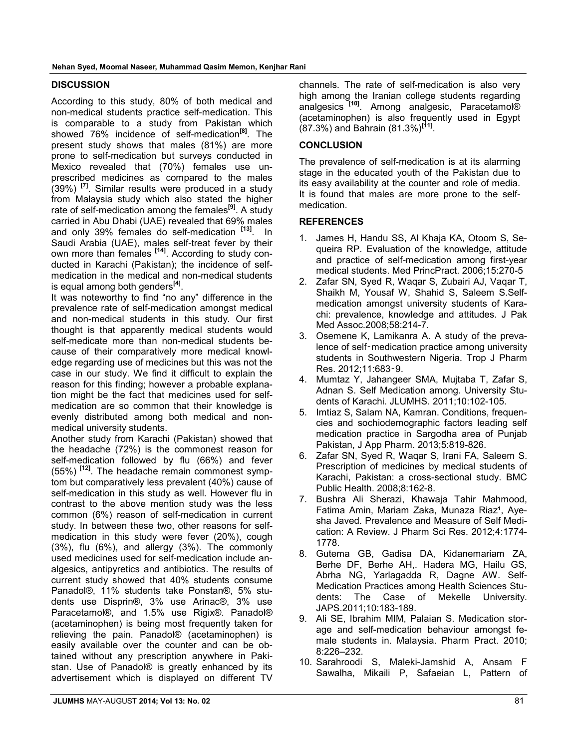### **DISCUSSION**

According to this study, 80% of both medical and non-medical students practice self-medication. This is comparable to a study from Pakistan which showed 76% incidence of self-medication**[8]**. The present study shows that males (81%) are more prone to self-medication but surveys conducted in Mexico revealed that (70%) females use unprescribed medicines as compared to the males (39%) **[7]**. Similar results were produced in a study from Malaysia study which also stated the higher rate of self-medication among the females**[9]**. A study carried in Abu Dhabi (UAE) revealed that 69% males and only 39% females do self-medication **[13]**. In Saudi Arabia (UAE), males self-treat fever by their own more than females **[14]**. According to study conducted in Karachi (Pakistan); the incidence of selfmedication in the medical and non-medical students is equal among both genders**[4]**.

It was noteworthy to find "no any" difference in the prevalence rate of self-medication amongst medical and non-medical students in this study. Our first thought is that apparently medical students would self-medicate more than non-medical students because of their comparatively more medical knowledge regarding use of medicines but this was not the case in our study. We find it difficult to explain the reason for this finding; however a probable explanation might be the fact that medicines used for selfmedication are so common that their knowledge is evenly distributed among both medical and nonmedical university students.

Another study from Karachi (Pakistan) showed that the headache (72%) is the commonest reason for self-medication followed by flu (66%) and fever (55%) [12**]** . The headache remain commonest symptom but comparatively less prevalent (40%) cause of self-medication in this study as well. However flu in contrast to the above mention study was the less common (6%) reason of self-medication in current study. In between these two, other reasons for selfmedication in this study were fever (20%), cough (3%), flu (6%), and allergy (3%). The commonly used medicines used for self-medication include analgesics, antipyretics and antibiotics. The results of current study showed that 40% students consume Panadol®, 11% students take Ponstan®, 5% students use Disprin®, 3% use Arinac®, 3% use Paracetamol®, and 1.5% use Rigix®. Panadol® (acetaminophen) is being most frequently taken for relieving the pain. Panadol® (acetaminophen) is easily available over the counter and can be obtained without any prescription anywhere in Pakistan. Use of Panadol<sup>®</sup> is greatly enhanced by its advertisement which is displayed on different TV

channels. The rate of self-medication is also very high among the Iranian college students regarding analgesics **[10]**. Among analgesic, Paracetamol® (acetaminophen) is also frequently used in Egypt (87.3%) and Bahrain (81.3%)**[11]**.

### **CONCLUSION**

The prevalence of self-medication is at its alarming stage in the educated youth of the Pakistan due to its easy availability at the counter and role of media. It is found that males are more prone to the selfmedication.

### **REFERENCES**

- 1. James H, Handu SS, Al Khaja KA, Otoom S, Sequeira RP. Evaluation of the knowledge, attitude and practice of self-medication among first-year medical students. Med PrincPract. 2006;15:270-5
- 2. Zafar SN, Syed R, Waqar S, Zubairi AJ, Vaqar T, Shaikh M, Yousaf W, Shahid S, Saleem S.Selfmedication amongst university students of Karachi: prevalence, knowledge and attitudes. J Pak Med Assoc.2008;58:214-7.
- 3. Osemene K, Lamikanra A. A study of the prevalence of self‑medication practice among university students in Southwestern Nigeria. Trop J Pharm Res. 2012;11:683‑9.
- 4. Mumtaz Y, Jahangeer SMA, Mujtaba T, Zafar S, Adnan S. Self Medication among. University Students of Karachi. JLUMHS. 2011;10:102-105.
- 5. Imtiaz S, Salam NA, Kamran. Conditions, frequencies and sochiodemographic factors leading self medication practice in Sargodha area of Punjab Pakistan, J App Pharm. 2013;5:819-826.
- 6. Zafar SN, Syed R, Waqar S, Irani FA, Saleem S. Prescription of medicines by medical students of Karachi, Pakistan: a cross-sectional study. BMC Public Health. 2008;8:162-8.
- 7. Bushra Ali Sherazi, Khawaja Tahir Mahmood, Fatima Amin, Mariam Zaka, Munaza Riaz<sup>1</sup>, Ayesha Javed. Prevalence and Measure of Self Medication: A Review. J Pharm Sci Res. 2012;4:1774- 1778.
- 8. Gutema GB, Gadisa DA, Kidanemariam ZA, Berhe DF, Berhe AH,. Hadera MG, Hailu GS, Abrha NG, Yarlagadda R, Dagne AW. Self-Medication Practices among Health Sciences Students: The Case of Mekelle University. JAPS.2011;10:183-189.
- 9. Ali SE, Ibrahim MIM, Palaian S. Medication storage and self-medication behaviour amongst female students in. Malaysia. Pharm Pract. 2010; 8:226–232.
- 10. Sarahroodi S, Maleki-Jamshid A, Ansam F Sawalha, Mikaili P, Safaeian L, Pattern of